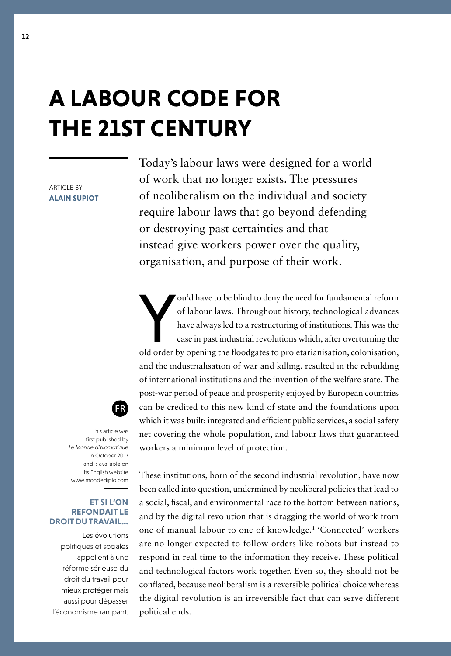# **A LABOUR CODE FOR THE 21ST CENTURY**

ARTICLE BY **ALAIN SUPIOT**

Today's labour laws were designed for a world of work that no longer exists. The pressures of neoliberalism on the individual and society require labour laws that go beyond defending or destroying past certainties and that instead give workers power over the quality, organisation, and purpose of their work.

ou'd have to be blind to deny the need for fundamental reform<br>of labour laws. Throughout history, technological advances<br>have always led to a restructuring of institutions. This was the<br>case in past industrial revolutions ou'd have to be blind to deny the need for fundamental reform of labour laws. Throughout history, technological advances have always led to a restructuring of institutions. This was the case in past industrial revolutions which, after overturning the and the industrialisation of war and killing, resulted in the rebuilding of international institutions and the invention of the welfare state. The post-war period of peace and prosperity enjoyed by European countries can be credited to this new kind of state and the foundations upon which it was built: integrated and efficient public services, a social safety net covering the whole population, and labour laws that guaranteed workers a minimum level of protection.



This article was first published by *Le Monde diplomatique*  in October 2017 and is available on its English website [www.mondediplo.com](http://www.mondediplo.com/)

#### **ET SI L'ON REFONDAIT LE DROIT DU TRAVAIL…**

Les évolutions politiques et sociales appellent à une réforme sérieuse du droit du travail pour mieux protéger mais aussi pour dépasser l'économisme rampant.

These institutions, born of the second industrial revolution, have now been called into question, undermined by neoliberal policies that lead to a social, fscal, and environmental race to the bottom between nations, and by the digital revolution that is dragging the world of work from one of manual labour to one of knowledge.1 'Connected' workers are no longer expected to follow orders like robots but instead to respond in real time to the information they receive. These political and technological factors work together. Even so, they should not be confated, because neoliberalism is a reversible political choice whereas the digital revolution is an irreversible fact that can serve different political ends.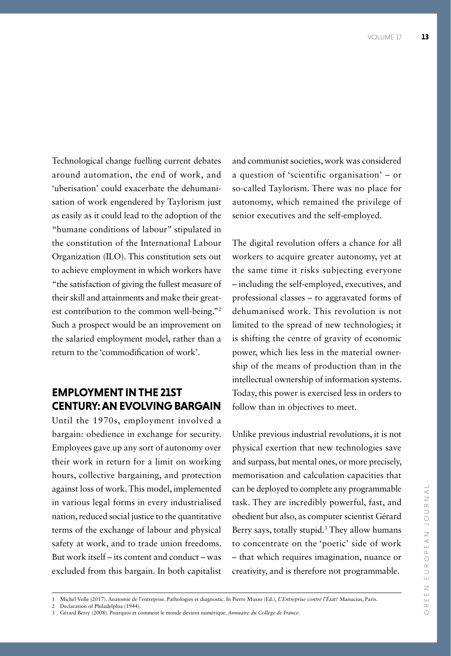Technological change fuelling current debates around automation, the end of work, and 'uberisation' could exacerbate the dehumanisation of work engendered by Taylorism just as easily as it could lead to the adoption of the "humane conditions of labour" stipulated in the constitution of the International Labour Organization (ILO). This constitution sets out to achieve employment in which workers have "the satisfaction of giving the fullest measure of their skill and attainments and make their greatest contribution to the common well-being."2 Such a prospect would be an improvement on the salaried employment model, rather than a return to the 'commodifcation of work'.

### **EMPLOYMENT IN THE 21ST CENTURY: AN EVOLVING BARGAIN**

Until the 1970s, employment involved a bargain: obedience in exchange for security. Employees gave up any sort of autonomy over their work in return for a limit on working hours, collective bargaining, and protection against loss of work. This model, implemented in various legal forms in every industrialised nation, reduced social justice to the quantitative terms of the exchange of labour and physical safety at work, and to trade union freedoms. But work itself – its content and conduct – was excluded from this bargain. In both capitalist

and communist societies, work was considered a question of 'scientific organisation' – or so-called Taylorism. There was no place for autonomy, which remained the privilege of senior executives and the self-employed.

The digital revolution offers a chance for all workers to acquire greater autonomy, yet at the same time it risks subjecting everyone – including the self-employed, executives, and professional classes – to aggravated forms of dehumanised work. This revolution is not limited to the spread of new technologies; it is shifting the centre of gravity of economic power, which lies less in the material ownership of the means of production than in the intellectual ownership of information systems. Today, this power is exercised less in orders to follow than in objectives to meet.

Unlike previous industrial revolutions, it is not physical exertion that new technologies save and surpass, but mental ones, or more precisely, memorisation and calculation capacities that can be deployed to complete any programmable task. They are incredibly powerful, fast, and obedient but also, as computer scientist Gérard Berry says, totally stupid.<sup>3</sup> They allow humans to concentrate on the 'poetic' side of work – that which requires imagination, nuance or creativity, and is therefore not programmable.

- 2 Declaration of Philadelphia (1944).
- 3 Gérard Berry (2008). Pourquoi et comment le monde devient numérique. *Annuaire du Collège de France*.

<sup>1</sup> Michel Volle (2017). Anatomie de l'entreprise. Pathologies et diagnostic. In Pierre Musso (Ed.), *L'Entreprise contre l'État?* Manucius, Paris.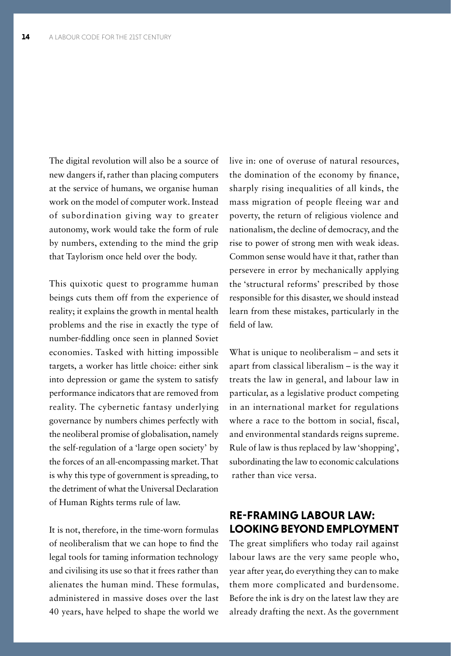The digital revolution will also be a source of new dangers if, rather than placing computers at the service of humans, we organise human work on the model of computer work. Instead of subordination giving way to greater autonomy, work would take the form of rule by numbers, extending to the mind the grip that Taylorism once held over the body.

This quixotic quest to programme human beings cuts them off from the experience of reality; it explains the growth in mental health problems and the rise in exactly the type of number-fddling once seen in planned Soviet economies. Tasked with hitting impossible targets, a worker has little choice: either sink into depression or game the system to satisfy performance indicators that are removed from reality. The cybernetic fantasy underlying governance by numbers chimes perfectly with the neoliberal promise of globalisation, namely the self-regulation of a 'large open society' by the forces of an all-encompassing market. That is why this type of government is spreading, to the detriment of what the Universal Declaration of Human Rights terms rule of law.

It is not, therefore, in the time-worn formulas of neoliberalism that we can hope to fnd the legal tools for taming information technology and civilising its use so that it frees rather than alienates the human mind. These formulas, administered in massive doses over the last 40 years, have helped to shape the world we live in: one of overuse of natural resources, the domination of the economy by fnance, sharply rising inequalities of all kinds, the mass migration of people fleeing war and poverty, the return of religious violence and nationalism, the decline of democracy, and the rise to power of strong men with weak ideas. Common sense would have it that, rather than persevere in error by mechanically applying the 'structural reforms' prescribed by those responsible for this disaster, we should instead learn from these mistakes, particularly in the feld of law.

What is unique to neoliberalism – and sets it apart from classical liberalism – is the way it treats the law in general, and labour law in particular, as a legislative product competing in an international market for regulations where a race to the bottom in social, fiscal, and environmental standards reigns supreme. Rule of law is thus replaced by law 'shopping', subordinating the law to economic calculations rather than vice versa.

## **RE-FRAMING LABOUR LAW: LOOKING BEYOND EMPLOYMENT**

The great simplifers who today rail against labour laws are the very same people who, year after year, do everything they can to make them more complicated and burdensome. Before the ink is dry on the latest law they are already drafting the next. As the government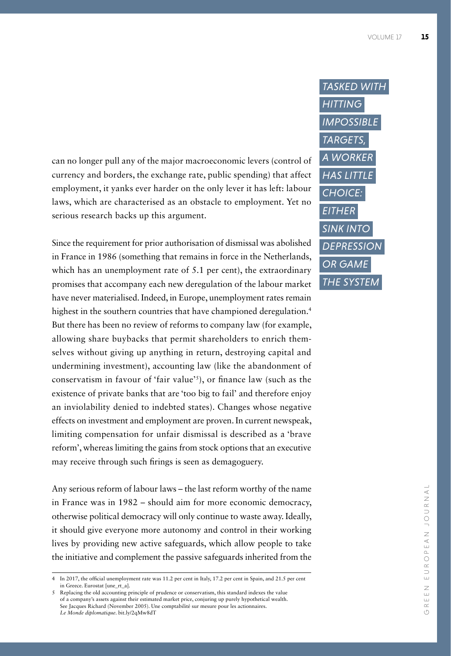can no longer pull any of the major macroeconomic levers (control of currency and borders, the exchange rate, public spending) that affect employment, it yanks ever harder on the only lever it has left: labour laws, which are characterised as an obstacle to employment. Yet no serious research backs up this argument.

Since the requirement for prior authorisation of dismissal was abolished in France in 1986 (something that remains in force in the Netherlands, which has an unemployment rate of 5.1 per cent), the extraordinary promises that accompany each new deregulation of the labour market have never materialised. Indeed, in Europe, unemployment rates remain highest in the southern countries that have championed deregulation.<sup>4</sup> But there has been no review of reforms to company law (for example, allowing share buybacks that permit shareholders to enrich themselves without giving up anything in return, destroying capital and undermining investment), accounting law (like the abandonment of conservatism in favour of 'fair value'<sup>5</sup>), or finance law (such as the existence of private banks that are 'too big to fail' and therefore enjoy an inviolability denied to indebted states). Changes whose negative effects on investment and employment are proven. In current newspeak, limiting compensation for unfair dismissal is described as a 'brave reform', whereas limiting the gains from stock options that an executive may receive through such frings is seen as demagoguery.

Any serious reform of labour laws – the last reform worthy of the name in France was in 1982 – should aim for more economic democracy, otherwise political democracy will only continue to waste away. Ideally, it should give everyone more autonomy and control in their working lives by providing new active safeguards, which allow people to take the initiative and complement the passive safeguards inherited from the



<sup>4</sup> In 2017, the offcial unemployment rate was 11.2 per cent in Italy, 17.2 per cent in Spain, and 21.5 per cent in Greece. Eurostat [une\_rt\_a].

<sup>5</sup> Replacing the old accounting principle of prudence or conservatism, this standard indexes the value of a company's assets against their estimated market price, conjuring up purely hypothetical wealth. See Jacques Richard (November 2005). Une comptabilité sur mesure pour les actionnaires. *Le Monde diplomatique*. bit.ly/2qMw8dT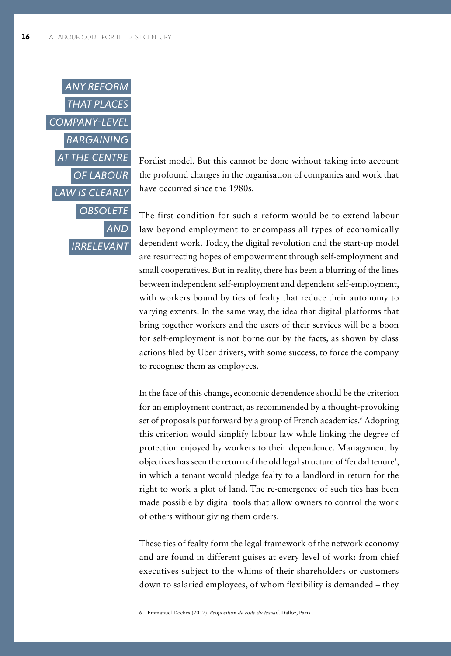

Fordist model. But this cannot be done without taking into account the profound changes in the organisation of companies and work that have occurred since the 1980s.

The first condition for such a reform would be to extend labour law beyond employment to encompass all types of economically dependent work. Today, the digital revolution and the start-up model are resurrecting hopes of empowerment through self-employment and small cooperatives. But in reality, there has been a blurring of the lines between independent self-employment and dependent self-employment, with workers bound by ties of fealty that reduce their autonomy to varying extents. In the same way, the idea that digital platforms that bring together workers and the users of their services will be a boon for self-employment is not borne out by the facts, as shown by class actions fled by Uber drivers, with some success, to force the company to recognise them as employees.

In the face of this change, economic dependence should be the criterion for an employment contract, as recommended by a thought-provoking set of proposals put forward by a group of French academics.<sup>6</sup> Adopting this criterion would simplify labour law while linking the degree of protection enjoyed by workers to their dependence. Management by objectives has seen the return of the old legal structure of 'feudal tenure', in which a tenant would pledge fealty to a landlord in return for the right to work a plot of land. The re-emergence of such ties has been made possible by digital tools that allow owners to control the work of others without giving them orders.

These ties of fealty form the legal framework of the network economy and are found in different guises at every level of work: from chief executives subject to the whims of their shareholders or customers down to salaried employees, of whom fexibility is demanded – they

<sup>6</sup> Emmanuel Dockès (2017). *Proposition de code du travail*. Dalloz, Paris.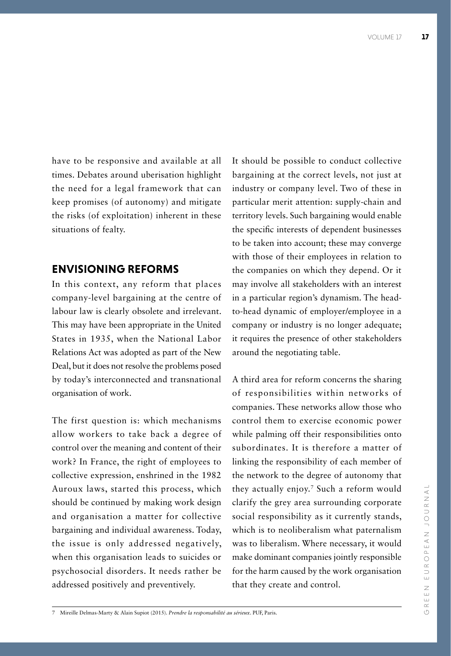have to be responsive and available at all times. Debates around uberisation highlight the need for a legal framework that can keep promises (of autonomy) and mitigate the risks (of exploitation) inherent in these situations of fealty.

#### **ENVISIONING REFORMS**

In this context, any reform that places company-level bargaining at the centre of labour law is clearly obsolete and irrelevant. This may have been appropriate in the United States in 1935, when the National Labor Relations Act was adopted as part of the New Deal, but it does not resolve the problems posed by today's interconnected and transnational organisation of work.

The first question is: which mechanisms allow workers to take back a degree of control over the meaning and content of their work? In France, the right of employees to collective expression, enshrined in the 1982 Auroux laws, started this process, which should be continued by making work design and organisation a matter for collective bargaining and individual awareness. Today, the issue is only addressed negatively, when this organisation leads to suicides or psychosocial disorders. It needs rather be addressed positively and preventively.

It should be possible to conduct collective bargaining at the correct levels, not just at industry or company level. Two of these in particular merit attention: supply-chain and territory levels. Such bargaining would enable the specifc interests of dependent businesses to be taken into account; these may converge with those of their employees in relation to the companies on which they depend. Or it may involve all stakeholders with an interest in a particular region's dynamism. The headto-head dynamic of employer/employee in a company or industry is no longer adequate; it requires the presence of other stakeholders around the negotiating table.

A third area for reform concerns the sharing of responsibilities within networks of companies. These networks allow those who control them to exercise economic power while palming off their responsibilities onto subordinates. It is therefore a matter of linking the responsibility of each member of the network to the degree of autonomy that they actually enjoy.7 Such a reform would clarify the grey area surrounding corporate social responsibility as it currently stands, which is to neoliberalism what paternalism was to liberalism. Where necessary, it would make dominant companies jointly responsible for the harm caused by the work organisation that they create and control.

<sup>7</sup> Mireille Delmas-Marty & Alain Supiot (2015). *Prendre la responsabilité au sérieux*. PUF, Paris.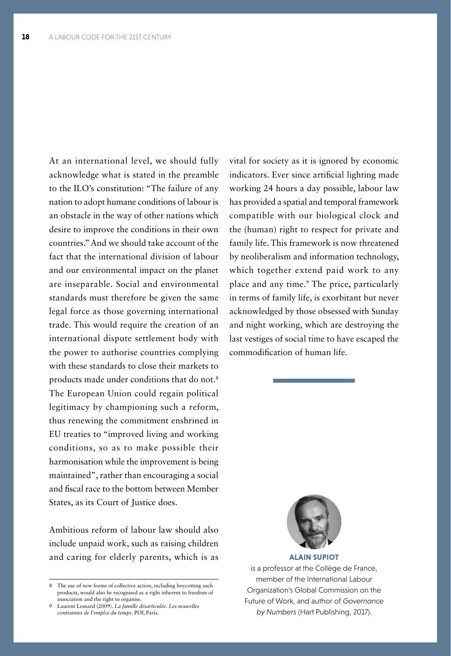At an international level, we should fully acknowledge what is stated in the preamble to the ILO's constitution: "The failure of any nation to adopt humane conditions of labour is an obstacle in the way of other nations which desire to improve the conditions in their own countries." And we should take account of the fact that the international division of labour and our environmental impact on the planet are inseparable. Social and environmental standards must therefore be given the same legal force as those governing international trade. This would require the creation of an international dispute settlement body with the power to authorise countries complying with these standards to close their markets to products made under conditions that do not.8 The European Union could regain political legitimacy by championing such a reform, thus renewing the commitment enshrined in EU treaties to "improved living and working conditions, so as to make possible their harmonisation while the improvement is being maintained", rather than encouraging a social and fscal race to the bottom between Member States, as its Court of Justice does.

Ambitious reform of labour law should also include unpaid work, such as raising children and caring for elderly parents, which is as

vital for society as it is ignored by economic indicators. Ever since artifcial lighting made working 24 hours a day possible, labour law has provided a spatial and temporal framework compatible with our biological clock and the (human) right to respect for private and family life. This framework is now threatened by neoliberalism and information technology, which together extend paid work to any place and any time.9 The price, particularly in terms of family life, is exorbitant but never acknowledged by those obsessed with Sunday and night working, which are destroying the last vestiges of social time to have escaped the commodifcation of human life.



**ALAIN SUPIOT**

is a professor at the Collège de France, member of the International Labour Organization's Global Commission on the Future of Work, and author of *Governance by Numbers* (Hart Publishing, 2017).

<sup>8</sup> The use of new forms of collective action, including boycotting such products, would also be recognised as a right inherent to freedom of association and the right to organise.

<sup>9</sup> Laurent Lesnard (2009). *La famille désarticulée. Les nouvelles contraintes de l'emploi du temps*. PUF, Paris.